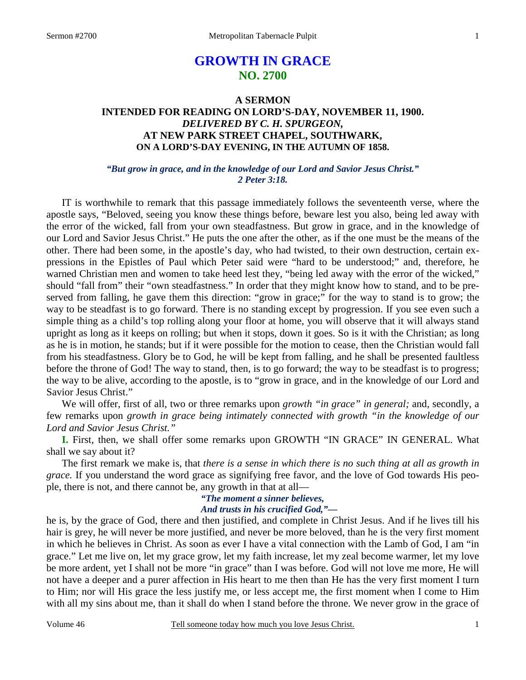# **GROWTH IN GRACE NO. 2700**

# **A SERMON INTENDED FOR READING ON LORD'S-DAY, NOVEMBER 11, 1900.**  *DELIVERED BY C. H. SPURGEON,*  **AT NEW PARK STREET CHAPEL, SOUTHWARK, ON A LORD'S-DAY EVENING, IN THE AUTUMN OF 1858.**

# *"But grow in grace, and in the knowledge of our Lord and Savior Jesus Christ." 2 Peter 3:18.*

IT is worthwhile to remark that this passage immediately follows the seventeenth verse, where the apostle says, "Beloved, seeing you know these things before, beware lest you also, being led away with the error of the wicked, fall from your own steadfastness. But grow in grace, and in the knowledge of our Lord and Savior Jesus Christ." He puts the one after the other, as if the one must be the means of the other. There had been some, in the apostle's day, who had twisted, to their own destruction, certain expressions in the Epistles of Paul which Peter said were "hard to be understood;" and, therefore, he warned Christian men and women to take heed lest they, "being led away with the error of the wicked," should "fall from" their "own steadfastness." In order that they might know how to stand, and to be preserved from falling, he gave them this direction: "grow in grace;" for the way to stand is to grow; the way to be steadfast is to go forward. There is no standing except by progression. If you see even such a simple thing as a child's top rolling along your floor at home, you will observe that it will always stand upright as long as it keeps on rolling; but when it stops, down it goes. So is it with the Christian; as long as he is in motion, he stands; but if it were possible for the motion to cease, then the Christian would fall from his steadfastness. Glory be to God, he will be kept from falling, and he shall be presented faultless before the throne of God! The way to stand, then, is to go forward; the way to be steadfast is to progress; the way to be alive, according to the apostle, is to "grow in grace, and in the knowledge of our Lord and Savior Jesus Christ."

 We will offer, first of all, two or three remarks upon *growth "in grace" in general;* and, secondly, a few remarks upon *growth in grace being intimately connected with growth "in the knowledge of our Lord and Savior Jesus Christ."* 

**I.** First, then, we shall offer some remarks upon GROWTH "IN GRACE" IN GENERAL. What shall we say about it?

 The first remark we make is, that *there is a sense in which there is no such thing at all as growth in grace.* If you understand the word grace as signifying free favor, and the love of God towards His people, there is not, and there cannot be, any growth in that at all—

## *"The moment a sinner believes, And trusts in his crucified God,"—*

he is, by the grace of God, there and then justified, and complete in Christ Jesus. And if he lives till his hair is grey, he will never be more justified, and never be more beloved, than he is the very first moment in which he believes in Christ. As soon as ever I have a vital connection with the Lamb of God, I am "in grace." Let me live on, let my grace grow, let my faith increase, let my zeal become warmer, let my love be more ardent, yet I shall not be more "in grace" than I was before. God will not love me more, He will not have a deeper and a purer affection in His heart to me then than He has the very first moment I turn to Him; nor will His grace the less justify me, or less accept me, the first moment when I come to Him with all my sins about me, than it shall do when I stand before the throne. We never grow in the grace of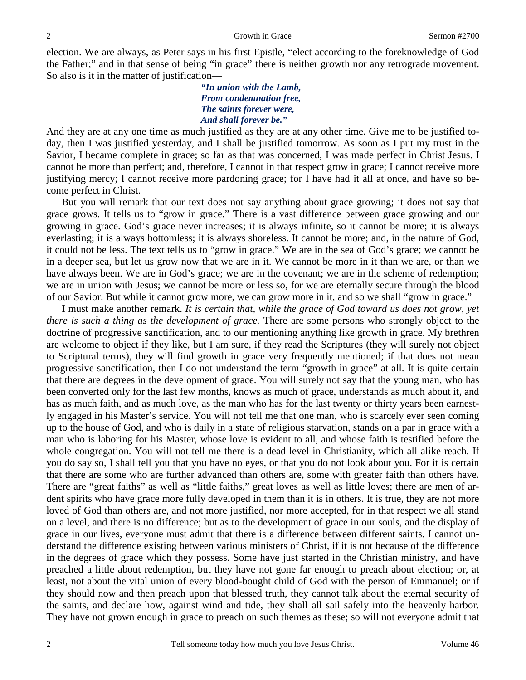election. We are always, as Peter says in his first Epistle, "elect according to the foreknowledge of God the Father;" and in that sense of being "in grace" there is neither growth nor any retrograde movement. So also is it in the matter of justification—

> *"In union with the Lamb, From condemnation free, The saints forever were, And shall forever be."*

And they are at any one time as much justified as they are at any other time. Give me to be justified today, then I was justified yesterday, and I shall be justified tomorrow. As soon as I put my trust in the Savior, I became complete in grace; so far as that was concerned, I was made perfect in Christ Jesus. I cannot be more than perfect; and, therefore, I cannot in that respect grow in grace; I cannot receive more justifying mercy; I cannot receive more pardoning grace; for I have had it all at once, and have so become perfect in Christ.

 But you will remark that our text does not say anything about grace growing; it does not say that grace grows. It tells us to "grow in grace." There is a vast difference between grace growing and our growing in grace. God's grace never increases; it is always infinite, so it cannot be more; it is always everlasting; it is always bottomless; it is always shoreless. It cannot be more; and, in the nature of God, it could not be less. The text tells us to "grow in grace." We are in the sea of God's grace; we cannot be in a deeper sea, but let us grow now that we are in it. We cannot be more in it than we are, or than we have always been. We are in God's grace; we are in the covenant; we are in the scheme of redemption; we are in union with Jesus; we cannot be more or less so, for we are eternally secure through the blood of our Savior. But while it cannot grow more, we can grow more in it, and so we shall "grow in grace."

 I must make another remark. *It is certain that, while the grace of God toward us does not grow, yet there is such a thing as the development of grace.* There are some persons who strongly object to the doctrine of progressive sanctification, and to our mentioning anything like growth in grace. My brethren are welcome to object if they like, but I am sure, if they read the Scriptures (they will surely not object to Scriptural terms), they will find growth in grace very frequently mentioned; if that does not mean progressive sanctification, then I do not understand the term "growth in grace" at all. It is quite certain that there are degrees in the development of grace. You will surely not say that the young man, who has been converted only for the last few months, knows as much of grace, understands as much about it, and has as much faith, and as much love, as the man who has for the last twenty or thirty years been earnestly engaged in his Master's service. You will not tell me that one man, who is scarcely ever seen coming up to the house of God, and who is daily in a state of religious starvation, stands on a par in grace with a man who is laboring for his Master, whose love is evident to all, and whose faith is testified before the whole congregation. You will not tell me there is a dead level in Christianity, which all alike reach. If you do say so, I shall tell you that you have no eyes, or that you do not look about you. For it is certain that there are some who are further advanced than others are, some with greater faith than others have. There are "great faiths" as well as "little faiths," great loves as well as little loves; there are men of ardent spirits who have grace more fully developed in them than it is in others. It is true, they are not more loved of God than others are, and not more justified, nor more accepted, for in that respect we all stand on a level, and there is no difference; but as to the development of grace in our souls, and the display of grace in our lives, everyone must admit that there is a difference between different saints. I cannot understand the difference existing between various ministers of Christ, if it is not because of the difference in the degrees of grace which they possess. Some have just started in the Christian ministry, and have preached a little about redemption, but they have not gone far enough to preach about election; or, at least, not about the vital union of every blood-bought child of God with the person of Emmanuel; or if they should now and then preach upon that blessed truth, they cannot talk about the eternal security of the saints, and declare how, against wind and tide, they shall all sail safely into the heavenly harbor. They have not grown enough in grace to preach on such themes as these; so will not everyone admit that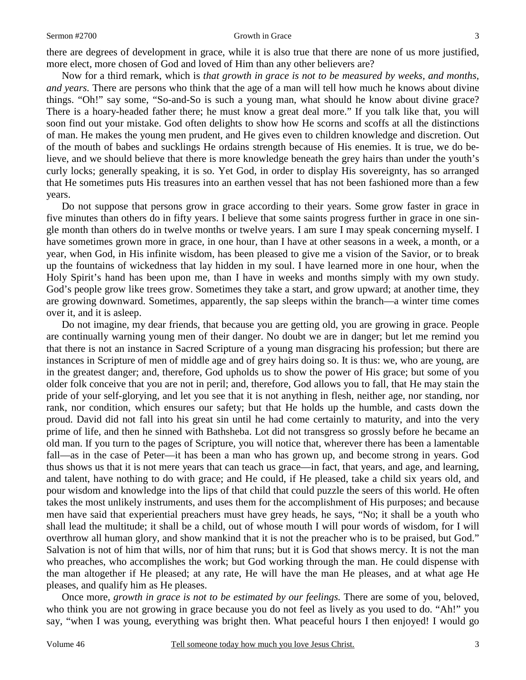#### Sermon #2700 Growth in Grace 3

there are degrees of development in grace, while it is also true that there are none of us more justified, more elect, more chosen of God and loved of Him than any other believers are?

 Now for a third remark, which is *that growth in grace is not to be measured by weeks, and months, and years.* There are persons who think that the age of a man will tell how much he knows about divine things. "Oh!" say some, "So-and-So is such a young man, what should he know about divine grace? There is a hoary-headed father there; he must know a great deal more." If you talk like that, you will soon find out your mistake. God often delights to show how He scorns and scoffs at all the distinctions of man. He makes the young men prudent, and He gives even to children knowledge and discretion. Out of the mouth of babes and sucklings He ordains strength because of His enemies. It is true, we do believe, and we should believe that there is more knowledge beneath the grey hairs than under the youth's curly locks; generally speaking, it is so. Yet God, in order to display His sovereignty, has so arranged that He sometimes puts His treasures into an earthen vessel that has not been fashioned more than a few years.

 Do not suppose that persons grow in grace according to their years. Some grow faster in grace in five minutes than others do in fifty years. I believe that some saints progress further in grace in one single month than others do in twelve months or twelve years. I am sure I may speak concerning myself. I have sometimes grown more in grace, in one hour, than I have at other seasons in a week, a month, or a year, when God, in His infinite wisdom, has been pleased to give me a vision of the Savior, or to break up the fountains of wickedness that lay hidden in my soul. I have learned more in one hour, when the Holy Spirit's hand has been upon me, than I have in weeks and months simply with my own study. God's people grow like trees grow. Sometimes they take a start, and grow upward; at another time, they are growing downward. Sometimes, apparently, the sap sleeps within the branch—a winter time comes over it, and it is asleep.

 Do not imagine, my dear friends, that because you are getting old, you are growing in grace. People are continually warning young men of their danger. No doubt we are in danger; but let me remind you that there is not an instance in Sacred Scripture of a young man disgracing his profession; but there are instances in Scripture of men of middle age and of grey hairs doing so. It is thus: we, who are young, are in the greatest danger; and, therefore, God upholds us to show the power of His grace; but some of you older folk conceive that you are not in peril; and, therefore, God allows you to fall, that He may stain the pride of your self-glorying, and let you see that it is not anything in flesh, neither age, nor standing, nor rank, nor condition, which ensures our safety; but that He holds up the humble, and casts down the proud. David did not fall into his great sin until he had come certainly to maturity, and into the very prime of life, and then he sinned with Bathsheba. Lot did not transgress so grossly before he became an old man. If you turn to the pages of Scripture, you will notice that, wherever there has been a lamentable fall—as in the case of Peter—it has been a man who has grown up, and become strong in years. God thus shows us that it is not mere years that can teach us grace—in fact, that years, and age, and learning, and talent, have nothing to do with grace; and He could, if He pleased, take a child six years old, and pour wisdom and knowledge into the lips of that child that could puzzle the seers of this world. He often takes the most unlikely instruments, and uses them for the accomplishment of His purposes; and because men have said that experiential preachers must have grey heads, he says, "No; it shall be a youth who shall lead the multitude; it shall be a child, out of whose mouth I will pour words of wisdom, for I will overthrow all human glory, and show mankind that it is not the preacher who is to be praised, but God." Salvation is not of him that wills, nor of him that runs; but it is God that shows mercy. It is not the man who preaches, who accomplishes the work; but God working through the man. He could dispense with the man altogether if He pleased; at any rate, He will have the man He pleases, and at what age He pleases, and qualify him as He pleases.

 Once more, *growth in grace is not to be estimated by our feelings.* There are some of you, beloved, who think you are not growing in grace because you do not feel as lively as you used to do. "Ah!" you say, "when I was young, everything was bright then. What peaceful hours I then enjoyed! I would go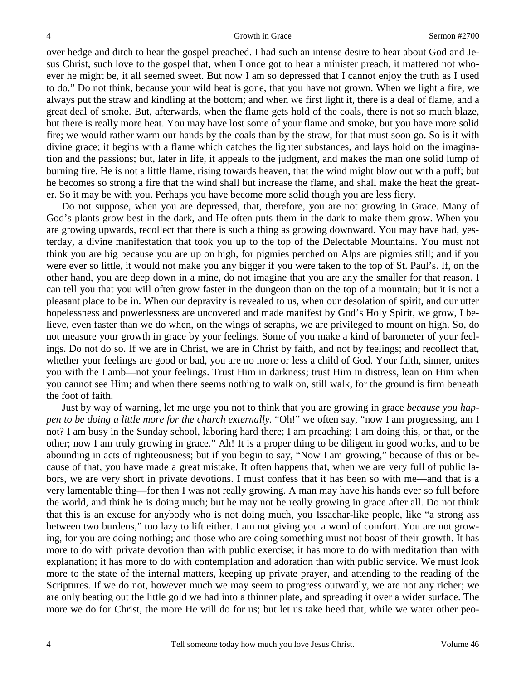over hedge and ditch to hear the gospel preached. I had such an intense desire to hear about God and Jesus Christ, such love to the gospel that, when I once got to hear a minister preach, it mattered not whoever he might be, it all seemed sweet. But now I am so depressed that I cannot enjoy the truth as I used to do." Do not think, because your wild heat is gone, that you have not grown. When we light a fire, we always put the straw and kindling at the bottom; and when we first light it, there is a deal of flame, and a great deal of smoke. But, afterwards, when the flame gets hold of the coals, there is not so much blaze, but there is really more heat. You may have lost some of your flame and smoke, but you have more solid fire; we would rather warm our hands by the coals than by the straw, for that must soon go. So is it with divine grace; it begins with a flame which catches the lighter substances, and lays hold on the imagination and the passions; but, later in life, it appeals to the judgment, and makes the man one solid lump of burning fire. He is not a little flame, rising towards heaven, that the wind might blow out with a puff; but he becomes so strong a fire that the wind shall but increase the flame, and shall make the heat the greater. So it may be with you. Perhaps you have become more solid though you are less fiery.

 Do not suppose, when you are depressed, that, therefore, you are not growing in Grace. Many of God's plants grow best in the dark, and He often puts them in the dark to make them grow. When you are growing upwards, recollect that there is such a thing as growing downward. You may have had, yesterday, a divine manifestation that took you up to the top of the Delectable Mountains. You must not think you are big because you are up on high, for pigmies perched on Alps are pigmies still; and if you were ever so little, it would not make you any bigger if you were taken to the top of St. Paul's. If, on the other hand, you are deep down in a mine, do not imagine that you are any the smaller for that reason. I can tell you that you will often grow faster in the dungeon than on the top of a mountain; but it is not a pleasant place to be in. When our depravity is revealed to us, when our desolation of spirit, and our utter hopelessness and powerlessness are uncovered and made manifest by God's Holy Spirit, we grow, I believe, even faster than we do when, on the wings of seraphs, we are privileged to mount on high. So, do not measure your growth in grace by your feelings. Some of you make a kind of barometer of your feelings. Do not do so. If we are in Christ, we are in Christ by faith, and not by feelings; and recollect that, whether your feelings are good or bad, you are no more or less a child of God. Your faith, sinner, unites you with the Lamb—not your feelings. Trust Him in darkness; trust Him in distress, lean on Him when you cannot see Him; and when there seems nothing to walk on, still walk, for the ground is firm beneath the foot of faith.

 Just by way of warning, let me urge you not to think that you are growing in grace *because you happen to be doing a little more for the church externally.* "Oh!" we often say, "now I am progressing, am I not? I am busy in the Sunday school, laboring hard there; I am preaching; I am doing this, or that, or the other; now I am truly growing in grace." Ah! It is a proper thing to be diligent in good works, and to be abounding in acts of righteousness; but if you begin to say, "Now I am growing," because of this or because of that, you have made a great mistake. It often happens that, when we are very full of public labors, we are very short in private devotions. I must confess that it has been so with me—and that is a very lamentable thing—for then I was not really growing. A man may have his hands ever so full before the world, and think he is doing much; but he may not be really growing in grace after all. Do not think that this is an excuse for anybody who is not doing much, you Issachar-like people, like "a strong ass between two burdens," too lazy to lift either. I am not giving you a word of comfort. You are not growing, for you are doing nothing; and those who are doing something must not boast of their growth. It has more to do with private devotion than with public exercise; it has more to do with meditation than with explanation; it has more to do with contemplation and adoration than with public service. We must look more to the state of the internal matters, keeping up private prayer, and attending to the reading of the Scriptures. If we do not, however much we may seem to progress outwardly, we are not any richer; we are only beating out the little gold we had into a thinner plate, and spreading it over a wider surface. The more we do for Christ, the more He will do for us; but let us take heed that, while we water other peo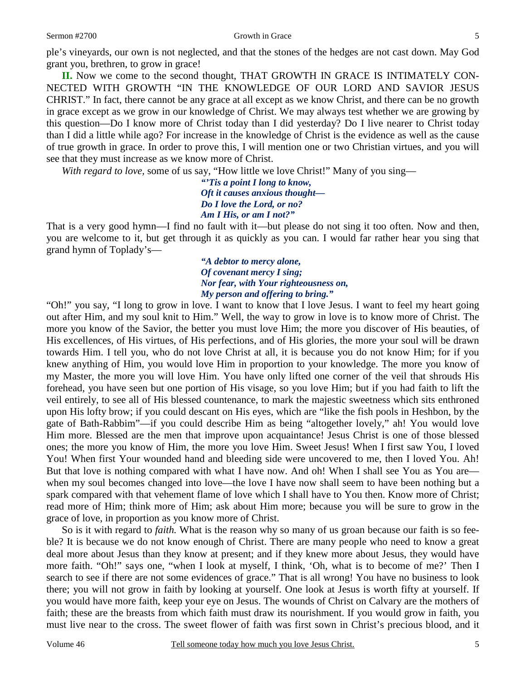ple's vineyards, our own is not neglected, and that the stones of the hedges are not cast down. May God grant you, brethren, to grow in grace!

**II.** Now we come to the second thought, THAT GROWTH IN GRACE IS INTIMATELY CON-NECTED WITH GROWTH "IN THE KNOWLEDGE OF OUR LORD AND SAVIOR JESUS CHRIST." In fact, there cannot be any grace at all except as we know Christ, and there can be no growth in grace except as we grow in our knowledge of Christ. We may always test whether we are growing by this question—Do I know more of Christ today than I did yesterday? Do I live nearer to Christ today than I did a little while ago? For increase in the knowledge of Christ is the evidence as well as the cause of true growth in grace. In order to prove this, I will mention one or two Christian virtues, and you will see that they must increase as we know more of Christ.

*With regard to love, some of us say, "How little we love Christ!" Many of you sing—* 

*"'Tis a point I long to know, Oft it causes anxious thought— Do I love the Lord, or no? Am I His, or am I not?"* 

That is a very good hymn—I find no fault with it—but please do not sing it too often. Now and then, you are welcome to it, but get through it as quickly as you can. I would far rather hear you sing that grand hymn of Toplady's—

> *"A debtor to mercy alone, Of covenant mercy I sing; Nor fear, with Your righteousness on, My person and offering to bring."*

"Oh!" you say, "I long to grow in love. I want to know that I love Jesus. I want to feel my heart going out after Him, and my soul knit to Him." Well, the way to grow in love is to know more of Christ. The more you know of the Savior, the better you must love Him; the more you discover of His beauties, of His excellences, of His virtues, of His perfections, and of His glories, the more your soul will be drawn towards Him. I tell you, who do not love Christ at all, it is because you do not know Him; for if you knew anything of Him, you would love Him in proportion to your knowledge. The more you know of my Master, the more you will love Him. You have only lifted one corner of the veil that shrouds His forehead, you have seen but one portion of His visage, so you love Him; but if you had faith to lift the veil entirely, to see all of His blessed countenance, to mark the majestic sweetness which sits enthroned upon His lofty brow; if you could descant on His eyes, which are "like the fish pools in Heshbon, by the gate of Bath-Rabbim"—if you could describe Him as being "altogether lovely," ah! You would love Him more. Blessed are the men that improve upon acquaintance! Jesus Christ is one of those blessed ones; the more you know of Him, the more you love Him. Sweet Jesus! When I first saw You, I loved You! When first Your wounded hand and bleeding side were uncovered to me, then I loved You. Ah! But that love is nothing compared with what I have now. And oh! When I shall see You as You are when my soul becomes changed into love—the love I have now shall seem to have been nothing but a spark compared with that vehement flame of love which I shall have to You then. Know more of Christ; read more of Him; think more of Him; ask about Him more; because you will be sure to grow in the grace of love, in proportion as you know more of Christ.

 So is it with regard to *faith.* What is the reason why so many of us groan because our faith is so feeble? It is because we do not know enough of Christ. There are many people who need to know a great deal more about Jesus than they know at present; and if they knew more about Jesus, they would have more faith. "Oh!" says one, "when I look at myself, I think, 'Oh, what is to become of me?' Then I search to see if there are not some evidences of grace." That is all wrong! You have no business to look there; you will not grow in faith by looking at yourself. One look at Jesus is worth fifty at yourself. If you would have more faith, keep your eye on Jesus. The wounds of Christ on Calvary are the mothers of faith; these are the breasts from which faith must draw its nourishment. If you would grow in faith, you must live near to the cross. The sweet flower of faith was first sown in Christ's precious blood, and it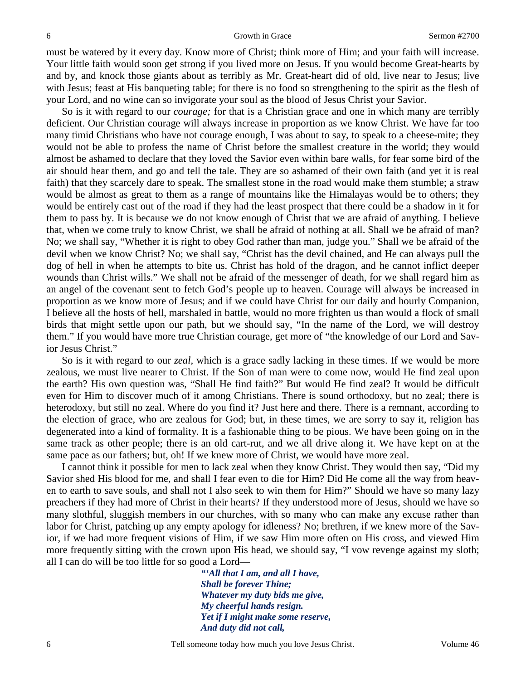must be watered by it every day. Know more of Christ; think more of Him; and your faith will increase. Your little faith would soon get strong if you lived more on Jesus. If you would become Great-hearts by and by, and knock those giants about as terribly as Mr. Great-heart did of old, live near to Jesus; live with Jesus; feast at His banqueting table; for there is no food so strengthening to the spirit as the flesh of your Lord, and no wine can so invigorate your soul as the blood of Jesus Christ your Savior.

 So is it with regard to our *courage;* for that is a Christian grace and one in which many are terribly deficient. Our Christian courage will always increase in proportion as we know Christ. We have far too many timid Christians who have not courage enough, I was about to say, to speak to a cheese-mite; they would not be able to profess the name of Christ before the smallest creature in the world; they would almost be ashamed to declare that they loved the Savior even within bare walls, for fear some bird of the air should hear them, and go and tell the tale. They are so ashamed of their own faith (and yet it is real faith) that they scarcely dare to speak. The smallest stone in the road would make them stumble; a straw would be almost as great to them as a range of mountains like the Himalayas would be to others; they would be entirely cast out of the road if they had the least prospect that there could be a shadow in it for them to pass by. It is because we do not know enough of Christ that we are afraid of anything. I believe that, when we come truly to know Christ, we shall be afraid of nothing at all. Shall we be afraid of man? No; we shall say, "Whether it is right to obey God rather than man, judge you." Shall we be afraid of the devil when we know Christ? No; we shall say, "Christ has the devil chained, and He can always pull the dog of hell in when he attempts to bite us. Christ has hold of the dragon, and he cannot inflict deeper wounds than Christ wills." We shall not be afraid of the messenger of death, for we shall regard him as an angel of the covenant sent to fetch God's people up to heaven. Courage will always be increased in proportion as we know more of Jesus; and if we could have Christ for our daily and hourly Companion, I believe all the hosts of hell, marshaled in battle, would no more frighten us than would a flock of small birds that might settle upon our path, but we should say, "In the name of the Lord, we will destroy them." If you would have more true Christian courage, get more of "the knowledge of our Lord and Savior Jesus Christ."

 So is it with regard to our *zeal,* which is a grace sadly lacking in these times. If we would be more zealous, we must live nearer to Christ. If the Son of man were to come now, would He find zeal upon the earth? His own question was, "Shall He find faith?" But would He find zeal? It would be difficult even for Him to discover much of it among Christians. There is sound orthodoxy, but no zeal; there is heterodoxy, but still no zeal. Where do you find it? Just here and there. There is a remnant, according to the election of grace, who are zealous for God; but, in these times, we are sorry to say it, religion has degenerated into a kind of formality. It is a fashionable thing to be pious. We have been going on in the same track as other people; there is an old cart-rut, and we all drive along it. We have kept on at the same pace as our fathers; but, oh! If we knew more of Christ, we would have more zeal.

 I cannot think it possible for men to lack zeal when they know Christ. They would then say, "Did my Savior shed His blood for me, and shall I fear even to die for Him? Did He come all the way from heaven to earth to save souls, and shall not I also seek to win them for Him?" Should we have so many lazy preachers if they had more of Christ in their hearts? If they understood more of Jesus, should we have so many slothful, sluggish members in our churches, with so many who can make any excuse rather than labor for Christ, patching up any empty apology for idleness? No; brethren, if we knew more of the Savior, if we had more frequent visions of Him, if we saw Him more often on His cross, and viewed Him more frequently sitting with the crown upon His head, we should say, "I vow revenge against my sloth; all I can do will be too little for so good a Lord—

> *"'All that I am, and all I have, Shall be forever Thine; Whatever my duty bids me give, My cheerful hands resign. Yet if I might make some reserve, And duty did not call,*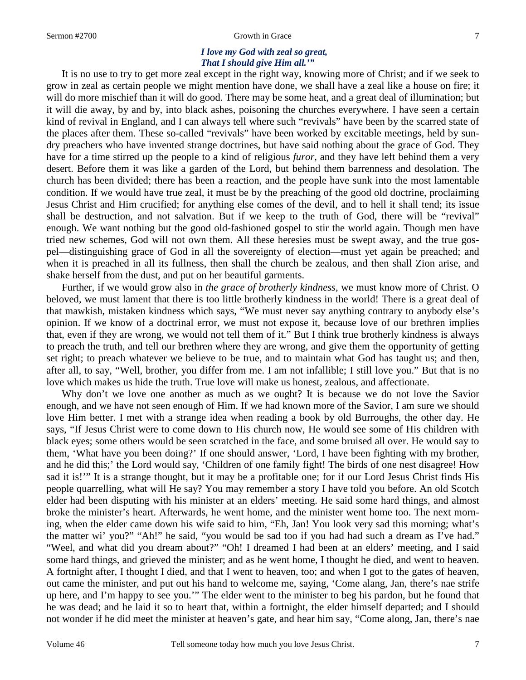#### Sermon #2700 Growth in Grace 7

### *I love my God with zeal so great, That I should give Him all.'"*

It is no use to try to get more zeal except in the right way, knowing more of Christ; and if we seek to grow in zeal as certain people we might mention have done, we shall have a zeal like a house on fire; it will do more mischief than it will do good. There may be some heat, and a great deal of illumination; but it will die away, by and by, into black ashes, poisoning the churches everywhere. I have seen a certain kind of revival in England, and I can always tell where such "revivals" have been by the scarred state of the places after them. These so-called "revivals" have been worked by excitable meetings, held by sundry preachers who have invented strange doctrines, but have said nothing about the grace of God. They have for a time stirred up the people to a kind of religious *furor,* and they have left behind them a very desert. Before them it was like a garden of the Lord, but behind them barrenness and desolation. The church has been divided; there has been a reaction, and the people have sunk into the most lamentable condition. If we would have true zeal, it must be by the preaching of the good old doctrine, proclaiming Jesus Christ and Him crucified; for anything else comes of the devil, and to hell it shall tend; its issue shall be destruction, and not salvation. But if we keep to the truth of God, there will be "revival" enough. We want nothing but the good old-fashioned gospel to stir the world again. Though men have tried new schemes, God will not own them. All these heresies must be swept away, and the true gospel—distinguishing grace of God in all the sovereignty of election—must yet again be preached; and when it is preached in all its fullness, then shall the church be zealous, and then shall Zion arise, and shake herself from the dust, and put on her beautiful garments.

 Further, if we would grow also in *the grace of brotherly kindness,* we must know more of Christ. O beloved, we must lament that there is too little brotherly kindness in the world! There is a great deal of that mawkish, mistaken kindness which says, "We must never say anything contrary to anybody else's opinion. If we know of a doctrinal error, we must not expose it, because love of our brethren implies that, even if they are wrong, we would not tell them of it." But I think true brotherly kindness is always to preach the truth, and tell our brethren where they are wrong, and give them the opportunity of getting set right; to preach whatever we believe to be true, and to maintain what God has taught us; and then, after all, to say, "Well, brother, you differ from me. I am not infallible; I still love you." But that is no love which makes us hide the truth. True love will make us honest, zealous, and affectionate.

 Why don't we love one another as much as we ought? It is because we do not love the Savior enough, and we have not seen enough of Him. If we had known more of the Savior, I am sure we should love Him better. I met with a strange idea when reading a book by old Burroughs, the other day. He says, "If Jesus Christ were to come down to His church now, He would see some of His children with black eyes; some others would be seen scratched in the face, and some bruised all over. He would say to them, 'What have you been doing?' If one should answer, 'Lord, I have been fighting with my brother, and he did this;' the Lord would say, 'Children of one family fight! The birds of one nest disagree! How sad it is!'" It is a strange thought, but it may be a profitable one; for if our Lord Jesus Christ finds His people quarrelling, what will He say? You may remember a story I have told you before. An old Scotch elder had been disputing with his minister at an elders' meeting. He said some hard things, and almost broke the minister's heart. Afterwards, he went home, and the minister went home too. The next morning, when the elder came down his wife said to him, "Eh, Jan! You look very sad this morning; what's the matter wi' you?" "Ah!" he said, "you would be sad too if you had had such a dream as I've had." "Weel, and what did you dream about?" "Oh! I dreamed I had been at an elders' meeting, and I said some hard things, and grieved the minister; and as he went home, I thought he died, and went to heaven. A fortnight after, I thought I died, and that I went to heaven, too; and when I got to the gates of heaven, out came the minister, and put out his hand to welcome me, saying, 'Come alang, Jan, there's nae strife up here, and I'm happy to see you.'" The elder went to the minister to beg his pardon, but he found that he was dead; and he laid it so to heart that, within a fortnight, the elder himself departed; and I should not wonder if he did meet the minister at heaven's gate, and hear him say, "Come along, Jan, there's nae